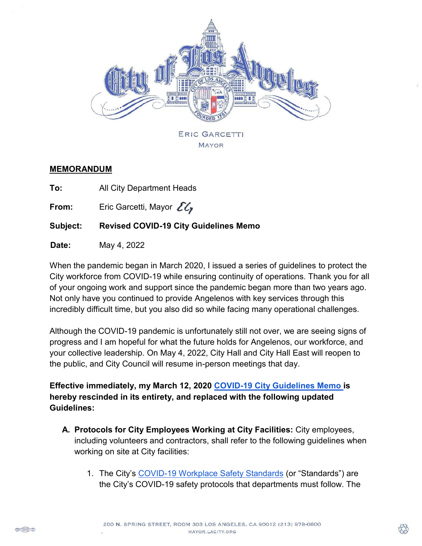

#### **MEMORANDUM**

**To:** All City Department Heads

**From:** Eric Garcetti, Mayor  $\mathcal{E}\mathcal{E}_r$ 

# **Subject: Revised COVID-19 City Guidelines Memo**

**Date:** May 4, 2022

When the pandemic began in March 2020, I issued a series of guidelines to protect the City workforce from COVID-19 while ensuring continuity of operations. Thank you for all of your ongoing work and support since the pandemic began more than two years ago. Not only have you continued to provide Angelenos with key services through this incredibly difficult time, but you also did so while facing many operational challenges.

Although the COVID-19 pandemic is unfortunately still not over, we are seeing signs of progress and I am hopeful for what the future holds for Angelenos, our workforce, and your collective leadership. On May 4, 2022, City Hall and City Hall East will reopen to the public, and City Council will resume in-person meetings that day.

**Effective immediately, my March 12, 2020 [COVID-19 City Guidelines Memo i](https://www.lamayor.org/sites/g/files/wph1781/files/article/files/Mayor%20Memo%20-COVID-19%20LA%20City%20Guidelines.pdf)s hereby rescinded in its entirety, and replaced with the following updated Guidelines:** 

- **A. Protocols for City Employees Working at City Facilities:** City employees, including volunteers and contractors, shall refer to the following guidelines when working on site at City facilities:
	- 1. The City's [COVID-19 Workplace Safety Standards](https://per.lacity.org/documents/Personnel-and-Uniform-Workplace-Safety-Protocols-3-4-1.pdf) (or "Standards") are the City's COVID-19 safety protocols that departments must follow. The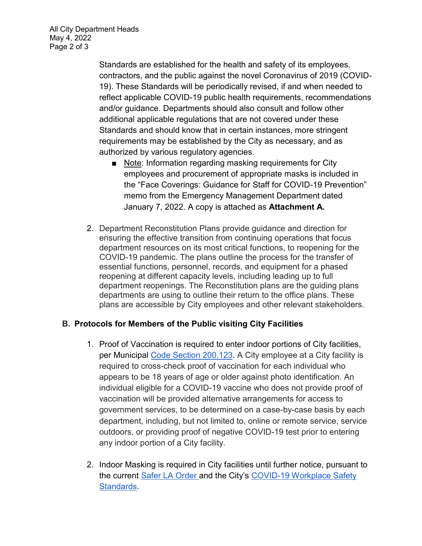Standards are established for the health and safety of its employees, contractors, and the public against the novel Coronavirus of 2019 (COVID-19). These Standards will be periodically revised, if and when needed to reflect applicable COVID-19 public health requirements, recommendations and/or guidance. Departments should also consult and follow other additional applicable regulations that are not covered under these Standards and should know that in certain instances, more stringent requirements may be established by the City as necessary, and as authorized by various regulatory agencies.

- Note: Information regarding masking requirements for City employees and procurement of appropriate masks is included in the "Face Coverings: Guidance for Staff for COVID-19 Prevention" memo from the Emergency Management Department dated January 7, 2022. A copy is attached as **Attachment A.**
- 2. Department Reconstitution Plans provide guidance and direction for ensuring the effective transition from continuing operations that focus department resources on its most critical functions, to reopening for the COVID-19 pandemic. The plans outline the process for the transfer of essential functions, personnel, records, and equipment for a phased reopening at different capacity levels, including leading up to full department reopenings. The Reconstitution plans are the guiding plans departments are using to outline their return to the office plans. These plans are accessible by City employees and other relevant stakeholders.

### **B. Protocols for Members of the Public visiting City Facilities**

- 1. Proof of Vaccination is required to enter indoor portions of City facilities, per Municipal [Code Section 200.123.](https://codelibrary.amlegal.com/codes/los_angeles/latest/lamc/0-0-0-357277#JD_200.123.) A City employee at a City facility is required to cross-check proof of vaccination for each individual who appears to be 18 years of age or older against photo identification. An individual eligible for a COVID-19 vaccine who does not provide proof of vaccination will be provided alternative arrangements for access to government services, to be determined on a case-by-case basis by each department, including, but not limited to, online or remote service, service outdoors, or providing proof of negative COVID-19 test prior to entering any indoor portion of a City facility.
- 2. Indoor Masking is required in City facilities until further notice, pursuant to the current [Safer LA Order a](https://www.lamayor.org/sites/g/files/wph1781/files/page/file/20220424%20SAFER%20LA%20ORDER%202020.03.19%20%28REV%202022.04.24%29.pdf)nd the City's [COVID-19 Workplace Safety](https://per.lacity.org/documents/Personnel-and-Uniform-Workplace-Safety-Protocols-3-4-1.pdf)  **Standards**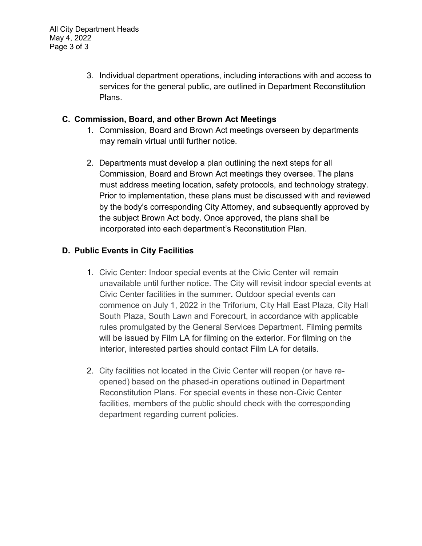3. Individual department operations, including interactions with and access to services for the general public, are outlined in Department Reconstitution Plans.

### **C. Commission, Board, and other Brown Act Meetings**

- 1. Commission, Board and Brown Act meetings overseen by departments may remain virtual until further notice.
- 2. Departments must develop a plan outlining the next steps for all Commission, Board and Brown Act meetings they oversee. The plans must address meeting location, safety protocols, and technology strategy. Prior to implementation, these plans must be discussed with and reviewed by the body's corresponding City Attorney, and subsequently approved by the subject Brown Act body. Once approved, the plans shall be incorporated into each department's Reconstitution Plan.

# **D. Public Events in City Facilities**

- 1. Civic Center: Indoor special events at the Civic Center will remain unavailable until further notice. The City will revisit indoor special events at Civic Center facilities in the summer. Outdoor special events can commence on July 1, 2022 in the Triforium, City Hall East Plaza, City Hall South Plaza, South Lawn and Forecourt, in accordance with applicable rules promulgated by the General Services Department. Filming permits will be issued by Film LA for filming on the exterior. For filming on the interior, interested parties should contact Film LA for details.
- 2. City facilities not located in the Civic Center will reopen (or have reopened) based on the phased-in operations outlined in Department Reconstitution Plans. For special events in these non-Civic Center facilities, members of the public should check with the corresponding department regarding current policies.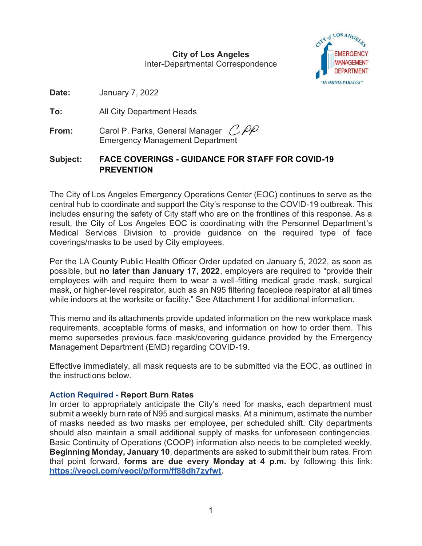**City of Los Angeles** Inter-Departmental Correspondence



**Date:** January 7, 2022

**To:** All City Department Heads

**From:** Carol P. Parks, General Manager C. PP Emergency Management Department

# **Subject: FACE COVERINGS - GUIDANCE FOR STAFF FOR COVID-19 PREVENTION**

The City of Los Angeles Emergency Operations Center (EOC) continues to serve as the central hub to coordinate and support the City's response to the COVID-19 outbreak. This includes ensuring the safety of City staff who are on the frontlines of this response. As a result, the City of Los Angeles EOC is coordinating with the Personnel Department's Medical Services Division to provide guidance on the required type of face coverings/masks to be used by City employees.

Per the LA County Public Health Officer Order updated on January 5, 2022, as soon as possible, but **no later than January 17, 2022**, employers are required to "provide their employees with and require them to wear a well-fitting medical grade mask, surgical mask, or higher-level respirator, such as an N95 filtering facepiece respirator at all times while indoors at the worksite or facility." See Attachment I for additional information.

This memo and its attachments provide updated information on the new workplace mask requirements, acceptable forms of masks, and information on how to order them. This memo supersedes previous face mask/covering guidance provided by the Emergency Management Department (EMD) regarding COVID-19.

Effective immediately, all mask requests are to be submitted via the EOC, as outlined in the instructions below.

### **Action Required - Report Burn Rates**

In order to appropriately anticipate the City's need for masks, each department must submit a weekly burn rate of N95 and surgical masks. At a minimum, estimate the number of masks needed as two masks per employee, per scheduled shift. City departments should also maintain a small additional supply of masks for unforeseen contingencies. Basic Continuity of Operations (COOP) information also needs to be completed weekly. **Beginning Monday, January 10**, departments are asked to submit their burn rates. From that point forward, **forms are due every Monday at 4 p.m.** by following this link: **https://veoci.com/veoci/p/form/ff88dh7zyfwt.**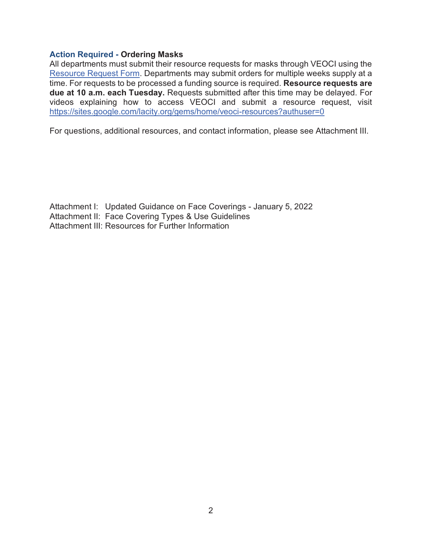#### **Action Required - Ordering Masks**

All departments must submit their resource requests for masks through VEOCI using the Resource Request Form. Departments may submit orders for multiple weeks supply at a time. For requests to be processed a funding source is required. **Resource requests are due at 10 a.m. each Tuesday.** Requests submitted after this time may be delayed. For videos explaining how to access VEOCI and submit a resource request, visit https://sites.google.com/lacity.org/gems/home/veoci-resources?authuser=0

For questions, additional resources, and contact information, please see Attachment III.

Attachment I: Updated Guidance on Face Coverings - January 5, 2022 Attachment II: Face Covering Types & Use Guidelines Attachment III: Resources for Further Information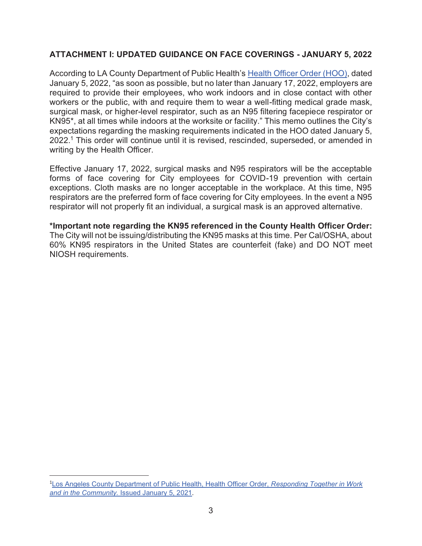### **ATTACHMENT I: UPDATED GUIDANCE ON FACE COVERINGS - JANUARY 5, 2022**

According to LA County Department of Public Health's Health Officer Order (HOO), dated January 5, 2022, "as soon as possible, but no later than January 17, 2022, employers are required to provide their employees, who work indoors and in close contact with other workers or the public, with and require them to wear a well-fitting medical grade mask, surgical mask, or higher-level respirator, such as an N95 filtering facepiece respirator or KN95\*, at all times while indoors at the worksite or facility." This memo outlines the City's expectations regarding the masking requirements indicated in the HOO dated January 5, 2022.<sup>1</sup> This order will continue until it is revised, rescinded, superseded, or amended in writing by the Health Officer.

Effective January 17, 2022, surgical masks and N95 respirators will be the acceptable forms of face covering for City employees for COVID-19 prevention with certain exceptions. Cloth masks are no longer acceptable in the workplace. At this time, N95 respirators are the preferred form of face covering for City employees. In the event a N95 respirator will not properly fit an individual, a surgical mask is an approved alternative.

**\*Important note regarding the KN95 referenced in the County Health Officer Order:** The City will not be issuing/distributing the KN95 masks at this time. Per Cal/OSHA, about 60% KN95 respirators in the United States are counterfeit (fake) and DO NOT meet NIOSH requirements.

<sup>1</sup>Los Angeles County Department of Public Health, Health Officer Order, *Responding Together in Work and in the Community.* Issued January 5, 2021.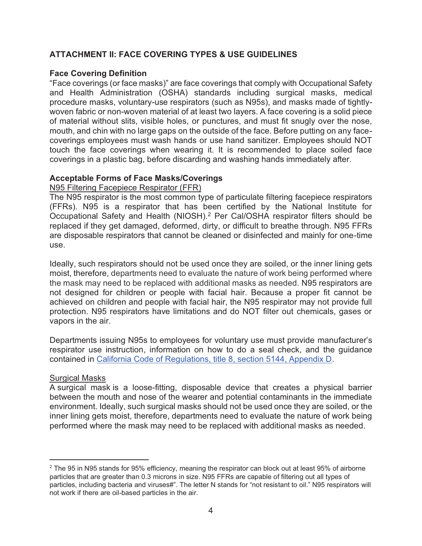### **ATTACHMENT II: FACE COVERING TYPES & USE GUIDELINES**

#### **Face Covering Definition**

"Face coverings (or face masks)" are face coverings that comply with Occupational Safety and Health Administration (OSHA) standards including surgical masks, medical procedure masks, voluntary-use respirators (such as N95s), and masks made of tightlywoven fabric or non-woven material of at least two layers. A face covering is a solid piece of material without slits, visible holes, or punctures, and must fit snugly over the nose, mouth, and chin with no large gaps on the outside of the face. Before putting on any facecoverings employees must wash hands or use hand sanitizer. Employees should NOT touch the face coverings when wearing it. It is recommended to place soiled face coverings in a plastic bag, before discarding and washing hands immediately after.

#### **Acceptable Forms of Face Masks/Coverings**

#### N95 Filtering Facepiece Respirator (FFR)

The N95 respirator is the most common type of particulate filtering facepiece respirators (FFRs). N95 is a respirator that has been certified by the National Institute for Occupational Safety and Health (NIOSH).2 Per Cal/OSHA respirator filters should be replaced if they get damaged, deformed, dirty, or difficult to breathe through. N95 FFRs are disposable respirators that cannot be cleaned or disinfected and mainly for one-time use.

Ideally, such respirators should not be used once they are soiled, or the inner lining gets moist, therefore, departments need to evaluate the nature of work being performed where the mask may need to be replaced with additional masks as needed. N95 respirators are not designed for children or people with facial hair. Because a proper fit cannot be achieved on children and people with facial hair, the N95 respirator may not provide full protection. N95 respirators have limitations and do NOT filter out chemicals, gases or vapors in the air.

Departments issuing N95s to employees for voluntary use must provide manufacturer's respirator use instruction, information on how to do a seal check, and the guidance contained in California Code of Regulations, title 8, section 5144, Appendix D.

#### Surgical Masks

A surgical mask is a loose-fitting, disposable device that creates a physical barrier between the mouth and nose of the wearer and potential contaminants in the immediate environment. Ideally, such surgical masks should not be used once they are soiled, or the inner lining gets moist, therefore, departments need to evaluate the nature of work being performed where the mask may need to be replaced with additional masks as needed.

 $2$  The 95 in N95 stands for 95% efficiency, meaning the respirator can block out at least 95% of airborne particles that are greater than 0.3 microns in size. N95 FFRs are capable of filtering out all types of particles, including bacteria and viruses#". The letter N stands for "not resistant to oil." N95 respirators will not work if there are oil-based particles in the air.